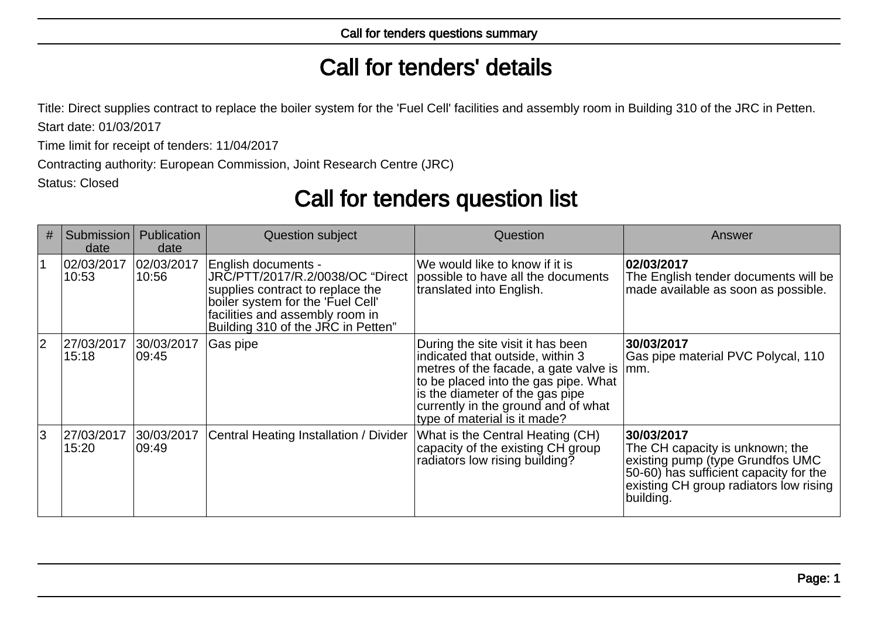## Call for tenders' details

Title: Direct supplies contract to replace the boiler system for the 'Fuel Cell' facilities and assembly room in Building 310 of the JRC in Petten.

Start date: 01/03/2017

Time limit for receipt of tenders: 11/04/2017

Contracting authority: European Commission, Joint Research Centre (JRC)

Status: Closed

## Call for tenders question list

| # | Submission  <br>date | Publication<br>date  | Question subject                                                                                                                                                                                          | Question                                                                                                                                                                                                                                                         | Answer                                                                                                                                                                             |
|---|----------------------|----------------------|-----------------------------------------------------------------------------------------------------------------------------------------------------------------------------------------------------------|------------------------------------------------------------------------------------------------------------------------------------------------------------------------------------------------------------------------------------------------------------------|------------------------------------------------------------------------------------------------------------------------------------------------------------------------------------|
|   | 02/03/2017<br>10:53  | 02/03/2017<br>10:56  | English documents -<br>JRC/PTT/2017/R.2/0038/OC "Direct<br>supplies contract to replace the<br>boiler system for the 'Fuel Cell'<br>facilities and assembly room in<br>Building 310 of the JRC in Petten" | We would like to know if it is<br>possible to have all the documents<br>translated into English.                                                                                                                                                                 | 02/03/2017<br>The English tender documents will be<br>made available as soon as possible.                                                                                          |
| 2 | 27/03/2017<br>15:18  | 30/03/2017<br>09:45  | Gas pipe                                                                                                                                                                                                  | During the site visit it has been<br>indicated that outside, within 3<br>metres of the facade, a gate valve is<br>to be placed into the gas pipe. What<br>is the diameter of the gas pipe<br>currently in the ground and of what<br>type of material is it made? | 30/03/2017<br>Gas pipe material PVC Polycal, 110<br>$\mathsf{Imm}$ .                                                                                                               |
| 3 | 27/03/2017<br>15:20  | 30/03/2017<br> 09:49 | Central Heating Installation / Divider                                                                                                                                                                    | What is the Central Heating (CH)<br>capacity of the existing CH group<br>radiators low rising building?                                                                                                                                                          | 30/03/2017<br>The CH capacity is unknown; the<br>existing pump (type Grundfos UMC<br>50-60) has sufficient capacity for the<br>existing CH group radiators low rising<br>building. |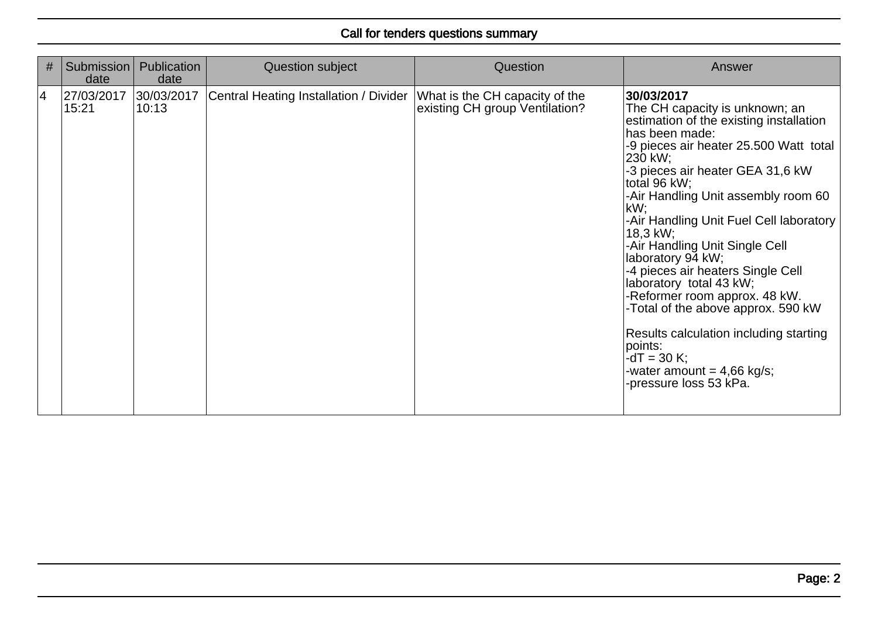## Call for tenders questions summary

| # | Submission<br>date  | <b>Publication</b><br>date | Question subject                       | Question                                                         | <b>Answer</b>                                                                                                                                                                                                                                                                                                                                                                                                                                                                                                                                                                                                                                         |
|---|---------------------|----------------------------|----------------------------------------|------------------------------------------------------------------|-------------------------------------------------------------------------------------------------------------------------------------------------------------------------------------------------------------------------------------------------------------------------------------------------------------------------------------------------------------------------------------------------------------------------------------------------------------------------------------------------------------------------------------------------------------------------------------------------------------------------------------------------------|
| 4 | 27/03/2017<br>15:21 | 30/03/2017<br>10:13        | Central Heating Installation / Divider | What is the CH capacity of the<br>existing CH group Ventilation? | 30/03/2017<br>The CH capacity is unknown; an<br>estimation of the existing installation<br>has been made:<br>-9 pieces air heater 25.500 Watt total<br>230 kW;<br>-3 pieces air heater GEA 31,6 kW<br>total 96 kW;<br>-Air Handling Unit assembly room 60<br>kW.<br>-Air Handling Unit Fuel Cell laboratory<br>18,3 kW;<br>-Air Handling Unit Single Cell<br>laboratory 94 kW;<br>-4 pieces air heaters Single Cell<br>laboratory total 43 kW;<br>-Reformer room approx. 48 kW.<br>-Total of the above approx. 590 kW<br>Results calculation including starting<br>points:<br>$-dT = 30 K;$<br>-water amount $= 4,66$ kg/s;<br>-pressure loss 53 kPa. |